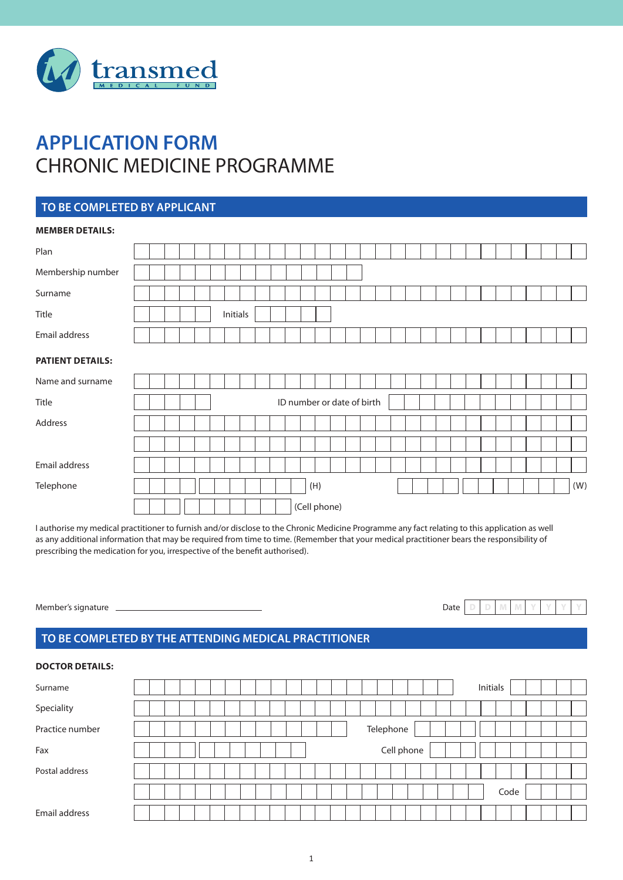

# **APPLICATION FORM** CHRONIC MEDICINE PROGRAMME

## **TO BE COMPLETED BY APPLICANT**

| <b>MEMBER DETAILS:</b>  |  |  |          |  |  |              |                            |  |  |  |  |  |  |  |     |
|-------------------------|--|--|----------|--|--|--------------|----------------------------|--|--|--|--|--|--|--|-----|
| Plan                    |  |  |          |  |  |              |                            |  |  |  |  |  |  |  |     |
| Membership number       |  |  |          |  |  |              |                            |  |  |  |  |  |  |  |     |
| Surname                 |  |  |          |  |  |              |                            |  |  |  |  |  |  |  |     |
| Title                   |  |  | Initials |  |  |              |                            |  |  |  |  |  |  |  |     |
| Email address           |  |  |          |  |  |              |                            |  |  |  |  |  |  |  |     |
| <b>PATIENT DETAILS:</b> |  |  |          |  |  |              |                            |  |  |  |  |  |  |  |     |
| Name and surname        |  |  |          |  |  |              |                            |  |  |  |  |  |  |  |     |
| Title                   |  |  |          |  |  |              | ID number or date of birth |  |  |  |  |  |  |  |     |
| Address                 |  |  |          |  |  |              |                            |  |  |  |  |  |  |  |     |
|                         |  |  |          |  |  |              |                            |  |  |  |  |  |  |  |     |
| Email address           |  |  |          |  |  |              |                            |  |  |  |  |  |  |  |     |
| Telephone               |  |  |          |  |  | (H)          |                            |  |  |  |  |  |  |  | (W) |
|                         |  |  |          |  |  | (Cell phone) |                            |  |  |  |  |  |  |  |     |

I authorise my medical practitioner to furnish and/or disclose to the Chronic Medicine Programme any fact relating to this application as well as any additional information that may be required from time to time. (Remember that your medical practitioner bears the responsibility of prescribing the medication for you, irrespective of the benefit authorised).

Member's signature \_

| $\sim$ |  |  |  |  |
|--------|--|--|--|--|
| 1at≏   |  |  |  |  |

## **TO BE COMPLETED BY THE ATTENDING MEDICAL PRACTITIONER**

#### **DOCTOR DETAILS:**

| Surname         | Initials   |  |
|-----------------|------------|--|
| Speciality      |            |  |
| Practice number | Telephone  |  |
| Fax             | Cell phone |  |
| Postal address  |            |  |
|                 | Code       |  |
| Email address   |            |  |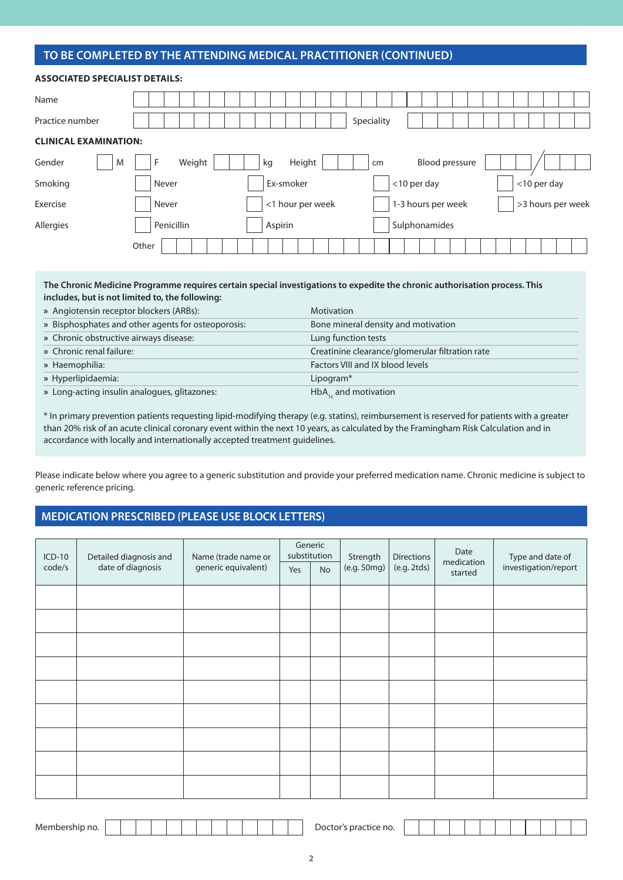# **TO BE COMPLETED BY THE ATTENDING MEDICAL PRACTITIONER (CONTINUED)**

| <b>ASSOCIATED SPECIALIST DETAILS:</b> |                                                                      |
|---------------------------------------|----------------------------------------------------------------------|
| Name                                  |                                                                      |
| Practice number                       | Speciality                                                           |
| <b>CLINICAL EXAMINATION:</b>          |                                                                      |
| Gender<br>M                           | Weight<br><b>Blood pressure</b><br>Height<br>F<br>kg<br>cm           |
| Smoking                               | <10 per day<br><10 per day<br>Ex-smoker<br>Never                     |
| Exercise                              | >3 hours per week<br><1 hour per week<br>1-3 hours per week<br>Never |
| Allergies                             | Sulphonamides<br>Penicillin<br>Aspirin                               |
|                                       | Other                                                                |

#### **The Chronic Medicine Programme requires certain special investigations to expedite the chronic authorisation process. This includes, but is not limited to, the following:**

| » Angiotensin receptor blockers (ARBs):            | <b>Motivation</b>                               |
|----------------------------------------------------|-------------------------------------------------|
| » Bisphosphates and other agents for osteoporosis: | Bone mineral density and motivation             |
| » Chronic obstructive airways disease:             | Lung function tests                             |
| » Chronic renal failure:                           | Creatinine clearance/glomerular filtration rate |
| » Haemophilia:                                     | Factors VIII and IX blood levels                |
| » Hyperlipidaemia:                                 | Lipogram*                                       |
| » Long-acting insulin analogues, glitazones:       | $HbA_{1c}$ and motivation                       |

\* In primary prevention patients requesting lipid-modifying therapy (e.g. statins), reimbursement is reserved for patients with a greater than 20% risk of an acute clinical coronary event within the next 10 years, as calculated by the Framingham Risk Calculation and in accordance with locally and internationally accepted treatment guidelines.

Please indicate below where you agree to a generic substitution and provide your preferred medication name. Chronic medicine is subject to generic reference pricing.

#### **MEDICATION PRESCRIBED (PLEASE USE BLOCK LETTERS)**

| $ICD-10$ | Detailed diagnosis and | Name (trade name or |     | Generic<br>substitution | Strength    | <b>Directions</b> | Date                  | Type and date of     |
|----------|------------------------|---------------------|-----|-------------------------|-------------|-------------------|-----------------------|----------------------|
| code/s   | date of diagnosis      | generic equivalent) | Yes | <b>No</b>               | (e.g. 50mg) | (e.g. 2tds)       | medication<br>started | investigation/report |
|          |                        |                     |     |                         |             |                   |                       |                      |
|          |                        |                     |     |                         |             |                   |                       |                      |
|          |                        |                     |     |                         |             |                   |                       |                      |
|          |                        |                     |     |                         |             |                   |                       |                      |
|          |                        |                     |     |                         |             |                   |                       |                      |
|          |                        |                     |     |                         |             |                   |                       |                      |
|          |                        |                     |     |                         |             |                   |                       |                      |
|          |                        |                     |     |                         |             |                   |                       |                      |
|          |                        |                     |     |                         |             |                   |                       |                      |

| Membership no. |  |  |  |  |  |  |  |  |  |  |  |  |  | Doctor's practice no. |
|----------------|--|--|--|--|--|--|--|--|--|--|--|--|--|-----------------------|
|----------------|--|--|--|--|--|--|--|--|--|--|--|--|--|-----------------------|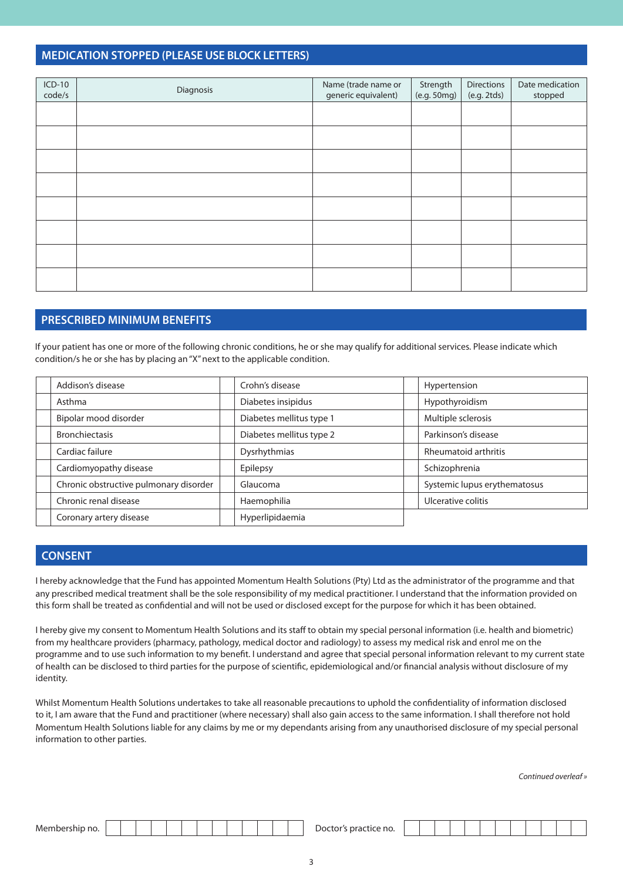#### **MEDICATION STOPPED (PLEASE USE BLOCK LETTERS)**

| $ICD-10$<br>code/s | Diagnosis | Name (trade name or<br>generic equivalent) | Strength<br>(e.g. 50mg) | Directions<br>(e.g. 2tds) | Date medication<br>stopped |
|--------------------|-----------|--------------------------------------------|-------------------------|---------------------------|----------------------------|
|                    |           |                                            |                         |                           |                            |
|                    |           |                                            |                         |                           |                            |
|                    |           |                                            |                         |                           |                            |
|                    |           |                                            |                         |                           |                            |
|                    |           |                                            |                         |                           |                            |
|                    |           |                                            |                         |                           |                            |
|                    |           |                                            |                         |                           |                            |
|                    |           |                                            |                         |                           |                            |

## **PRESCRIBED MINIMUM BENEFITS**

If your patient has one or more of the following chronic conditions, he or she may qualify for additional services. Please indicate which condition/s he or she has by placing an "X" next to the applicable condition.

| Addison's disease                      | Crohn's disease          | Hypertension                 |
|----------------------------------------|--------------------------|------------------------------|
| Asthma                                 | Diabetes insipidus       | Hypothyroidism               |
| Bipolar mood disorder                  | Diabetes mellitus type 1 | Multiple sclerosis           |
| <b>Bronchiectasis</b>                  | Diabetes mellitus type 2 | Parkinson's disease          |
| Cardiac failure                        | Dysrhythmias             | <b>Rheumatoid arthritis</b>  |
| Cardiomyopathy disease                 | Epilepsy                 | Schizophrenia                |
| Chronic obstructive pulmonary disorder | Glaucoma                 | Systemic lupus erythematosus |
| Chronic renal disease                  | Haemophilia              | Ulcerative colitis           |
| Coronary artery disease                | Hyperlipidaemia          |                              |

## **CONSENT**

I hereby acknowledge that the Fund has appointed Momentum Health Solutions (Pty) Ltd as the administrator of the programme and that any prescribed medical treatment shall be the sole responsibility of my medical practitioner. I understand that the information provided on this form shall be treated as confidential and will not be used or disclosed except for the purpose for which it has been obtained.

I hereby give my consent to Momentum Health Solutions and its staff to obtain my special personal information (i.e. health and biometric) from my healthcare providers (pharmacy, pathology, medical doctor and radiology) to assess my medical risk and enrol me on the programme and to use such information to my benefit. I understand and agree that special personal information relevant to my current state of health can be disclosed to third parties for the purpose of scientific, epidemiological and/or financial analysis without disclosure of my identity.

Whilst Momentum Health Solutions undertakes to take all reasonable precautions to uphold the confidentiality of information disclosed to it, I am aware that the Fund and practitioner (where necessary) shall also gain access to the same information. I shall therefore not hold Momentum Health Solutions liable for any claims by me or my dependants arising from any unauthorised disclosure of my special personal information to other parties.

*Continued overleaf »*

| Meml<br>no. י<br>)വ<br>nrar<br>.<br>m<br>по.<br>___ |
|-----------------------------------------------------|
|-----------------------------------------------------|